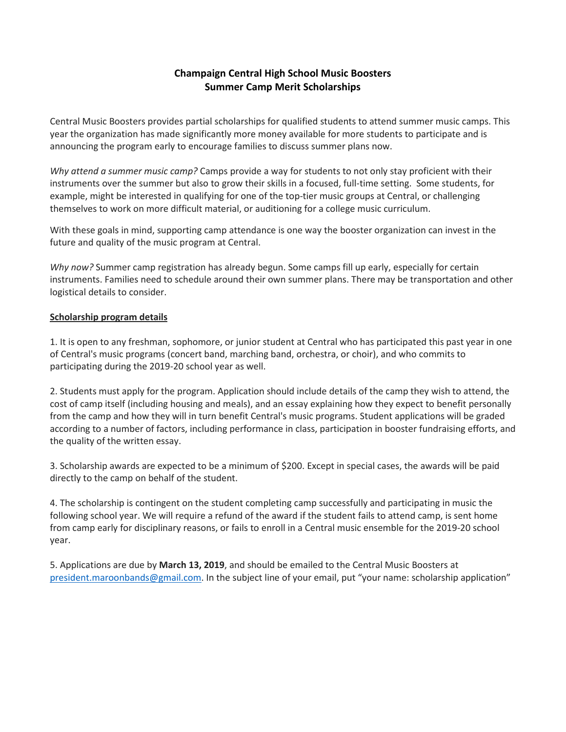## **Champaign Central High School Music Boosters Summer Camp Merit Scholarships**

Central Music Boosters provides partial scholarships for qualified students to attend summer music camps. This year the organization has made significantly more money available for more students to participate and is announcing the program early to encourage families to discuss summer plans now.

*Why attend a summer music camp?* Camps provide a way for students to not only stay proficient with their instruments over the summer but also to grow their skills in a focused, full-time setting. Some students, for example, might be interested in qualifying for one of the top-tier music groups at Central, or challenging themselves to work on more difficult material, or auditioning for a college music curriculum.

With these goals in mind, supporting camp attendance is one way the booster organization can invest in the future and quality of the music program at Central.

*Why now?* Summer camp registration has already begun. Some camps fill up early, especially for certain instruments. Families need to schedule around their own summer plans. There may be transportation and other logistical details to consider.

## **Scholarship program details**

1. It is open to any freshman, sophomore, or junior student at Central who has participated this past year in one of Central's music programs (concert band, marching band, orchestra, or choir), and who commits to participating during the 2019-20 school year as well.

2. Students must apply for the program. Application should include details of the camp they wish to attend, the cost of camp itself (including housing and meals), and an essay explaining how they expect to benefit personally from the camp and how they will in turn benefit Central's music programs. Student applications will be graded according to a number of factors, including performance in class, participation in booster fundraising efforts, and the quality of the written essay.

3. Scholarship awards are expected to be a minimum of \$200. Except in special cases, the awards will be paid directly to the camp on behalf of the student.

4. The scholarship is contingent on the student completing camp successfully and participating in music the following school year. We will require a refund of the award if the student fails to attend camp, is sent home from camp early for disciplinary reasons, or fails to enroll in a Central music ensemble for the 2019-20 school year.

5. Applications are due by **March 13, 2019**, and should be emailed to the Central Music Boosters at [president.maroonbands@gmail.com.](mailto:president.maroonbands@gmail.com) In the subject line of your email, put "your name: scholarship application"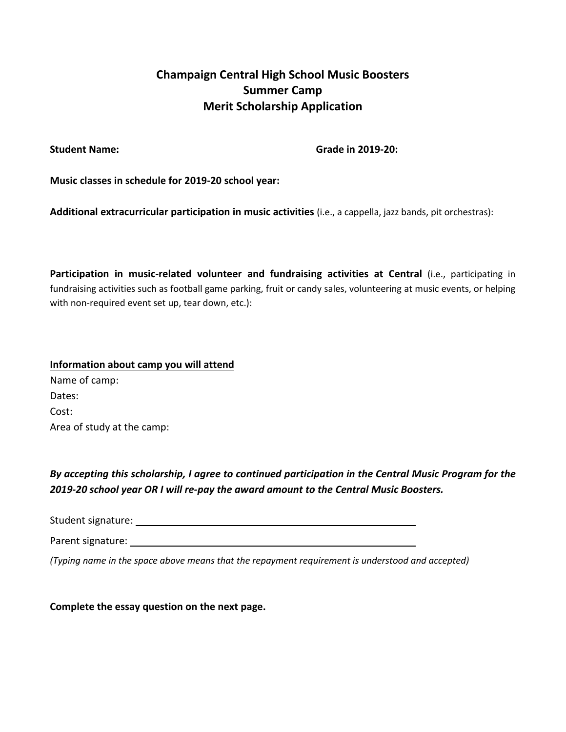## **Champaign Central High School Music Boosters Summer Camp Merit Scholarship Application**

**Student Name: Grade in 2019-20:**

**Music classes in schedule for 2019-20 school year:**

**Additional extracurricular participation in music activities** (i.e., a cappella, jazz bands, pit orchestras):

**Participation in music-related volunteer and fundraising activities at Central** (i.e., participating in fundraising activities such as football game parking, fruit or candy sales, volunteering at music events, or helping with non-required event set up, tear down, etc.):

**Information about camp you will attend** Name of camp: Dates: Cost: Area of study at the camp:

*By accepting this scholarship, I agree to continued participation in the Central Music Program for the 2019-20 school year OR I will re-pay the award amount to the Central Music Boosters.*

Student signature:

Parent signature:

*(Typing name in the space above means that the repayment requirement is understood and accepted)*

**Complete the essay question on the next page.**